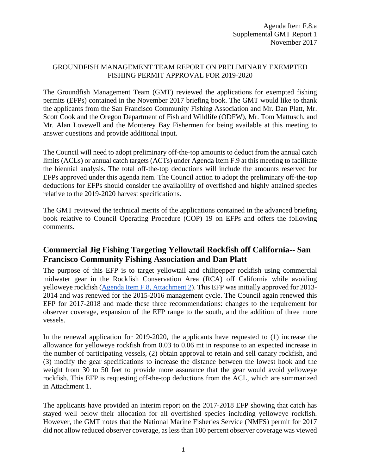#### GROUNDFISH MANAGEMENT TEAM REPORT ON PRELIMINARY EXEMPTED FISHING PERMIT APPROVAL FOR 2019-2020

The Groundfish Management Team (GMT) reviewed the applications for exempted fishing permits (EFPs) contained in the November 2017 briefing book. The GMT would like to thank the applicants from the San Francisco Community Fishing Association and Mr. Dan Platt, Mr. Scott Cook and the Oregon Department of Fish and Wildlife (ODFW), Mr. Tom Mattusch, and Mr. Alan Lovewell and the Monterey Bay Fishermen for being available at this meeting to answer questions and provide additional input.

The Council will need to adopt preliminary off-the-top amounts to deduct from the annual catch limits (ACLs) or annual catch targets (ACTs) under Agenda Item F.9 at this meeting to facilitate the biennial analysis. The total off-the-top deductions will include the amounts reserved for EFPs approved under this agenda item. The Council action to adopt the preliminary off-the-top deductions for EFPs should consider the availability of overfished and highly attained species relative to the 2019-2020 harvest specifications.

The GMT reviewed the technical merits of the applications contained in the advanced briefing book relative to Council Operating Procedure (COP) 19 on EFPs and offers the following comments.

## **Commercial Jig Fishing Targeting Yellowtail Rockfish off California-- San Francisco Community Fishing Association and Dan Platt**

The purpose of this EFP is to target yellowtail and chilipepper rockfish using commercial midwater gear in the Rockfish Conservation Area (RCA) off California while avoiding yelloweye rockfish [\(Agenda Item F.8, Attachment 2\)](http://www.pcouncil.org/wp-content/uploads/2017/10/F8_Att2_PlattEmleyApp_NOV2017BB.pdf). This EFP was initially approved for 2013- 2014 and was renewed for the 2015-2016 management cycle. The Council again renewed this EFP for 2017-2018 and made these three recommendations: changes to the requirement for observer coverage, expansion of the EFP range to the south, and the addition of three more vessels.

In the renewal application for 2019-2020, the applicants have requested to (1) increase the allowance for yelloweye rockfish from 0.03 to 0.06 mt in response to an expected increase in the number of participating vessels, (2) obtain approval to retain and sell canary rockfish, and (3) modify the gear specifications to increase the distance between the lowest hook and the weight from 30 to 50 feet to provide more assurance that the gear would avoid yelloweye rockfish. This EFP is requesting off-the-top deductions from the ACL, which are summarized in Attachment 1.

The applicants have provided an interim report on the 2017-2018 EFP showing that catch has stayed well below their allocation for all overfished species including yelloweye rockfish. However, the GMT notes that the National Marine Fisheries Service (NMFS) permit for 2017 did not allow reduced observer coverage, as less than 100 percent observer coverage was viewed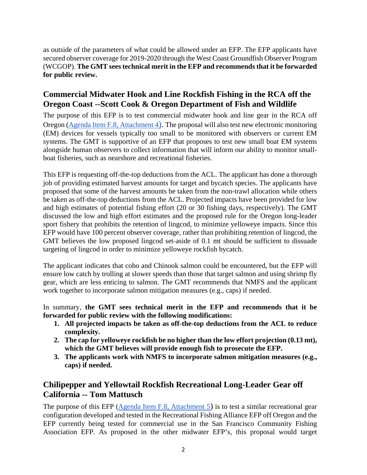as outside of the parameters of what could be allowed under an EFP. The EFP applicants have secured observer coverage for 2019-2020 through the West Coast Groundfish Observer Program (WCGOP). **The GMT sees technical merit in the EFP and recommends that it be forwarded for public review.**

### **Commercial Midwater Hook and Line Rockfish Fishing in the RCA off the Oregon Coast --Scott Cook & Oregon Department of Fish and Wildlife**

The purpose of this EFP is to test commercial midwater hook and line gear in the RCA off Oregon [\(Agenda Item F.8, Attachment 4\).](http://www.pcouncil.org/wp-content/uploads/2017/10/F8_Att4_Cook_App_NOV2017BB.pdf) The proposal will also test new electronic monitoring (EM) devices for vessels typically too small to be monitored with observers or current EM systems. The GMT is supportive of an EFP that proposes to test new small boat EM systems alongside human observers to collect information that will inform our ability to monitor smallboat fisheries, such as nearshore and recreational fisheries.

This EFP is requesting off-the-top deductions from the ACL. The applicant has done a thorough job of providing estimated harvest amounts for target and bycatch species. The applicants have proposed that some of the harvest amounts be taken from the non-trawl allocation while others be taken as off-the-top deductions from the ACL. Projected impacts have been provided for low and high estimates of potential fishing effort (20 or 30 fishing days, respectively). The GMT discussed the low and high effort estimates and the proposed rule for the Oregon long-leader sport fishery that prohibits the retention of lingcod, to minimize yelloweye impacts. Since this EFP would have 100 percent observer coverage, rather than prohibiting retention of lingcod, the GMT believes the low proposed lingcod set-aside of 0.1 mt should be sufficient to dissuade targeting of lingcod in order to minimize yelloweye rockfish bycatch.

The applicant indicates that coho and Chinook salmon could be encountered, but the EFP will ensure low catch by trolling at slower speeds than those that target salmon and using shrimp fly gear, which are less enticing to salmon. The GMT recommends that NMFS and the applicant work together to incorporate salmon mitigation measures (e.g., caps) if needed.

In summary, **the GMT sees technical merit in the EFP and recommends that it be forwarded for public review with the following modifications:**

- **1. All projected impacts be taken as off-the-top deductions from the ACL to reduce complexity.**
- **2. The cap for yelloweye rockfish be no higher than the low effort projection (0.13 mt), which the GMT believes will provide enough fish to prosecute the EFP.**
- **3. The applicants work with NMFS to incorporate salmon mitigation measures (e.g., caps) if needed.**

## **Chilipepper and Yellowtail Rockfish Recreational Long-Leader Gear off California -- Tom Mattusch**

The purpose of this EFP [\(Agenda Item F.8, Attachment 5\)](http://www.pcouncil.org/wp-content/uploads/2017/10/F8_Att5_Mattusch_App_NOV2017BB.pdf) is to test a similar recreational gear configuration developed and tested in the Recreational Fishing Alliance EFP off Oregon and the EFP currently being tested for commercial use in the San Francisco Community Fishing Association EFP. As proposed in the other midwater EFP's, this proposal would target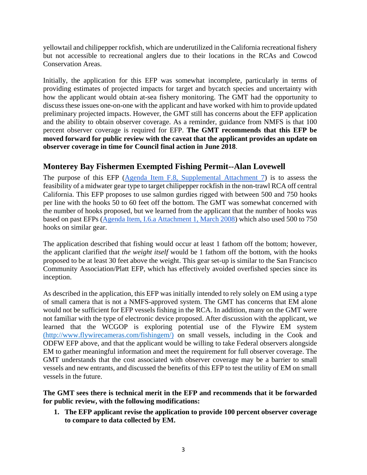yellowtail and chilipepper rockfish, which are underutilized in the California recreational fishery but not accessible to recreational anglers due to their locations in the RCAs and Cowcod Conservation Areas.

Initially, the application for this EFP was somewhat incomplete, particularly in terms of providing estimates of projected impacts for target and bycatch species and uncertainty with how the applicant would obtain at-sea fishery monitoring. The GMT had the opportunity to discuss these issues one-on-one with the applicant and have worked with him to provide updated preliminary projected impacts. However, the GMT still has concerns about the EFP application and the ability to obtain observer coverage. As a reminder, guidance from NMFS is that 100 percent observer coverage is required for EFP. **The GMT recommends that this EFP be moved forward for public review with the caveat that the applicant provides an update on observer coverage in time for Council final action in June 2018**.

## **Monterey Bay Fishermen Exempted Fishing Permit--Alan Lovewell**

The purpose of this EFP [\(Agenda Item F.8, Supplemental Attachment 7\)](https://www.pcouncil.org/wp-content/uploads/2017/11/F8_Sup_Att7_MontBayEFP_NOV2017BB.pdf) is to assess the feasibility of a midwater gear type to target chilipepper rockfish in the non-trawl RCA off central California. This EFP proposes to use salmon gurdies rigged with between 500 and 750 hooks per line with the hooks 50 to 60 feet off the bottom. The GMT was somewhat concerned with the number of hooks proposed, but we learned from the applicant that the number of hooks was based on past EFPs [\(Agenda Item, I.6.a Attachment 1, March 2008\)](https://www.pcouncil.org/bb/2008/0908/I6a_ATT1_0908.pdf) which also used 500 to 750 hooks on similar gear.

The application described that fishing would occur at least 1 fathom off the bottom; however, the applicant clarified that *the weight itself* would be 1 fathom off the bottom, with the hooks proposed to be at least 30 feet above the weight. This gear set-up is similar to the San Francisco Community Association/Platt EFP, which has effectively avoided overfished species since its inception.

As described in the application, this EFP was initially intended to rely solely on EM using a type of small camera that is not a NMFS-approved system. The GMT has concerns that EM alone would not be sufficient for EFP vessels fishing in the RCA. In addition, many on the GMT were not familiar with the type of electronic device proposed. After discussion with the applicant, we learned that the WCGOP is exploring potential use of the Flywire EM system [\(http://www.flywirecameras.com/fishingem/\)](http://www.flywirecameras.com/fishingem/) on small vessels, including in the Cook and ODFW EFP above, and that the applicant would be willing to take Federal observers alongside EM to gather meaningful information and meet the requirement for full observer coverage. The GMT understands that the cost associated with observer coverage may be a barrier to small vessels and new entrants, and discussed the benefits of this EFP to test the utility of EM on small vessels in the future.

#### **The GMT sees there is technical merit in the EFP and recommends that it be forwarded for public review, with the following modifications:**

**1. The EFP applicant revise the application to provide 100 percent observer coverage to compare to data collected by EM.**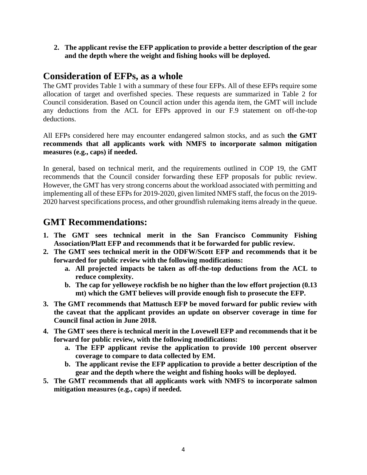**2. The applicant revise the EFP application to provide a better description of the gear and the depth where the weight and fishing hooks will be deployed.**

## **Consideration of EFPs, as a whole**

The GMT provides Table 1 with a summary of these four EFPs. All of these EFPs require some allocation of target and overfished species. These requests are summarized in Table 2 for Council consideration. Based on Council action under this agenda item, the GMT will include any deductions from the ACL for EFPs approved in our F.9 statement on off-the-top deductions.

All EFPs considered here may encounter endangered salmon stocks, and as such **the GMT recommends that all applicants work with NMFS to incorporate salmon mitigation measures (e.g., caps) if needed.**

In general, based on technical merit, and the requirements outlined in COP 19, the GMT recommends that the Council consider forwarding these EFP proposals for public review. However, the GMT has very strong concerns about the workload associated with permitting and implementing all of these EFPs for 2019-2020, given limited NMFS staff, the focus on the 2019- 2020 harvest specifications process, and other groundfish rulemaking items already in the queue.

# **GMT Recommendations:**

- **1. The GMT sees technical merit in the San Francisco Community Fishing Association/Platt EFP and recommends that it be forwarded for public review.**
- **2. The GMT sees technical merit in the ODFW/Scott EFP and recommends that it be forwarded for public review with the following modifications:**
	- **a. All projected impacts be taken as off-the-top deductions from the ACL to reduce complexity.**
	- **b. The cap for yelloweye rockfish be no higher than the low effort projection (0.13 mt) which the GMT believes will provide enough fish to prosecute the EFP.**
- **3. The GMT recommends that Mattusch EFP be moved forward for public review with the caveat that the applicant provides an update on observer coverage in time for Council final action in June 2018.**
- **4. The GMT sees there is technical merit in the Lovewell EFP and recommends that it be forward for public review, with the following modifications:**
	- **a. The EFP applicant revise the application to provide 100 percent observer coverage to compare to data collected by EM.**
	- **b. The applicant revise the EFP application to provide a better description of the gear and the depth where the weight and fishing hooks will be deployed.**
- **5. The GMT recommends that all applicants work with NMFS to incorporate salmon mitigation measures (e.g., caps) if needed.**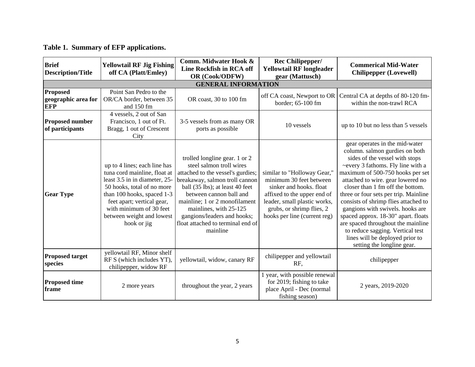# **Table 1. Summary of EFP applications.**

| <b>Brief</b><br><b>Description/Title</b>             | <b>Yellowtail RF Jig Fishing</b><br>off CA (Platt/Emley)                                                                                                                                                                                                       | Comm. Midwater Hook &<br>Line Rockfish in RCA off<br>OR (Cook/ODFW)                                                                                                                                                                                                                                                                       | Rec Chilipepper/<br><b>Yellowtail RF longleader</b><br>gear (Mattusch)                                                                                                                                        | <b>Commerical Mid-Water</b><br><b>Chilipepper (Lovewell)</b>                                                                                                                                                                                                                                                                                                                                                                                                                                                                                                |  |  |  |
|------------------------------------------------------|----------------------------------------------------------------------------------------------------------------------------------------------------------------------------------------------------------------------------------------------------------------|-------------------------------------------------------------------------------------------------------------------------------------------------------------------------------------------------------------------------------------------------------------------------------------------------------------------------------------------|---------------------------------------------------------------------------------------------------------------------------------------------------------------------------------------------------------------|-------------------------------------------------------------------------------------------------------------------------------------------------------------------------------------------------------------------------------------------------------------------------------------------------------------------------------------------------------------------------------------------------------------------------------------------------------------------------------------------------------------------------------------------------------------|--|--|--|
| <b>GENERAL INFORMATION</b>                           |                                                                                                                                                                                                                                                                |                                                                                                                                                                                                                                                                                                                                           |                                                                                                                                                                                                               |                                                                                                                                                                                                                                                                                                                                                                                                                                                                                                                                                             |  |  |  |
| <b>Proposed</b><br>geographic area for<br><b>EFP</b> | Point San Pedro to the<br>OR/CA border, between 35<br>and 150 fm                                                                                                                                                                                               | OR coast, 30 to 100 fm                                                                                                                                                                                                                                                                                                                    | off CA coast, Newport to OR<br>border; 65-100 fm                                                                                                                                                              | Central CA at depths of 80-120 fm-<br>within the non-trawl RCA                                                                                                                                                                                                                                                                                                                                                                                                                                                                                              |  |  |  |
| Proposed number<br>of participants                   | 4 vessels, 2 out of San<br>Francisco, 1 out of Ft.<br>Bragg, 1 out of Crescent<br>City                                                                                                                                                                         | 3-5 vessels from as many OR<br>ports as possible                                                                                                                                                                                                                                                                                          | 10 vessels                                                                                                                                                                                                    | up to 10 but no less than 5 vessels                                                                                                                                                                                                                                                                                                                                                                                                                                                                                                                         |  |  |  |
| <b>Gear Type</b>                                     | up to 4 lines; each line has<br>tuna cord mainline, float at<br>least 3.5 in in diameter, 25-<br>50 hooks, total of no more<br>than 100 hooks, spaced 1-3<br>feet apart; vertical gear,<br>with minimum of 30 feet<br>between weight and lowest<br>hook or jig | trolled longline gear. 1 or 2<br>steel salmon troll wires<br>attached to the vessel's gurdies;<br>breakaway, salmon troll cannon<br>ball (35 lbs); at least 40 feet<br>between cannon ball and<br>mainline; 1 or 2 monofilament<br>mainlines, with 25-125<br>gangions/leaders and hooks;<br>float attached to terminal end of<br>mainline | similar to "Holloway Gear,"<br>minimum 30 feet between<br>sinker and hooks. float<br>affixed to the upper end of<br>leader, small plastic works,<br>grubs, or shrimp flies, 2<br>hooks per line (current reg) | gear operates in the mid-water<br>column. salmon gurdies on both<br>sides of the vessel with stops<br>~every 3 fathoms. Fly line with a<br>maximum of 500-750 hooks per set<br>attached to wire. gear lowered no<br>closer than 1 fm off the bottom.<br>three or four sets per trip. Mainline<br>consists of shrimp flies attached to<br>gangions with swivels. hooks are<br>spaced approx. 18-30" apart. floats<br>are spaced throughout the mainline<br>to reduce sagging. Vertical test<br>lines will be deployed prior to<br>setting the longline gear. |  |  |  |
| <b>Proposed target</b><br>species                    | yellowtail RF, Minor shelf<br>RF S (which includes YT).<br>chilipepper, widow RF                                                                                                                                                                               | yellowtail, widow, canary RF                                                                                                                                                                                                                                                                                                              | chilipepper and yellowtail<br>RF,                                                                                                                                                                             | chilipepper                                                                                                                                                                                                                                                                                                                                                                                                                                                                                                                                                 |  |  |  |
| <b>Proposed time</b><br>frame                        | 2 more years                                                                                                                                                                                                                                                   | throughout the year, 2 years                                                                                                                                                                                                                                                                                                              | 1 year, with possible renewal<br>for 2019; fishing to take<br>place April - Dec (normal<br>fishing season)                                                                                                    | 2 years, 2019-2020                                                                                                                                                                                                                                                                                                                                                                                                                                                                                                                                          |  |  |  |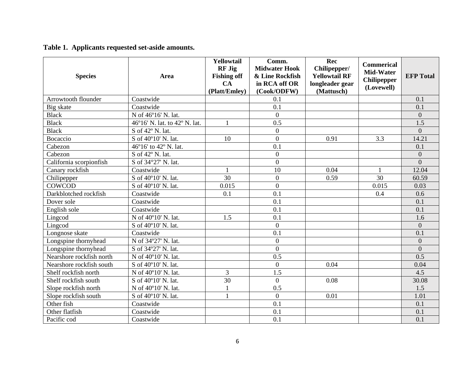**Table 1. Applicants requested set-aside amounts.**

| <b>Species</b>           | Area                                           | Yellowtail<br><b>RF Jig</b><br><b>Fishing off</b><br><b>CA</b><br>(Platt/Emley) | Comm.<br><b>Midwater Hook</b><br>& Line Rockfish<br>in RCA off OR<br>(Cook/ODFW) | Rec<br>Chilipepper/<br><b>Yellowtail RF</b><br>longleader gear<br>(Mattusch) | <b>Commerical</b><br>Mid-Water<br><b>Chilipepper</b><br>(Lovewell) | <b>EFP</b> Total |
|--------------------------|------------------------------------------------|---------------------------------------------------------------------------------|----------------------------------------------------------------------------------|------------------------------------------------------------------------------|--------------------------------------------------------------------|------------------|
| Arrowtooth flounder      | Coastwide                                      |                                                                                 | 0.1                                                                              |                                                                              |                                                                    | 0.1              |
| Big skate                | Coastwide                                      |                                                                                 | 0.1                                                                              |                                                                              |                                                                    | 0.1              |
| <b>Black</b>             | N of 46°16' N. lat.                            |                                                                                 | $\overline{0}$                                                                   |                                                                              |                                                                    | $\overline{0}$   |
| <b>Black</b>             | 46°16' N. lat. to 42° N. lat.                  | $\mathbf{1}$                                                                    | 0.5                                                                              |                                                                              |                                                                    | 1.5              |
| <b>Black</b>             | S of 42° N. lat.                               |                                                                                 | $\overline{0}$                                                                   |                                                                              |                                                                    | $\Omega$         |
| Bocaccio                 | S of 40°10' N. lat.                            | 10                                                                              | $\overline{0}$                                                                   | 0.91                                                                         | 3.3                                                                | 14.21            |
| Cabezon                  | 46°16' to 42° N. lat.                          |                                                                                 | 0.1                                                                              |                                                                              |                                                                    | 0.1              |
| Cabezon                  | S of 42° N. lat.                               |                                                                                 | $\overline{0}$                                                                   |                                                                              |                                                                    | $\overline{0}$   |
| California scorpionfish  | S of 34°27' N. lat.                            |                                                                                 | $\overline{0}$                                                                   |                                                                              |                                                                    | $\overline{0}$   |
| Canary rockfish          | Coastwide                                      |                                                                                 | 10                                                                               | 0.04                                                                         |                                                                    | 12.04            |
| Chilipepper              | S of 40°10' N. lat.                            | 30                                                                              | $\overline{0}$                                                                   | 0.59                                                                         | 30                                                                 | 60.59            |
| COWCOD                   | S of 40°10' N. lat.                            | 0.015                                                                           | $\overline{0}$                                                                   |                                                                              | 0.015                                                              | 0.03             |
| Darkblotched rockfish    | Coastwide                                      | 0.1                                                                             | 0.1                                                                              |                                                                              | 0.4                                                                | 0.6              |
| Dover sole               | Coastwide                                      |                                                                                 | 0.1                                                                              |                                                                              |                                                                    | 0.1              |
| English sole             | Coastwide                                      |                                                                                 | 0.1                                                                              |                                                                              |                                                                    | 0.1              |
| Lingcod                  | N of 40°10' N. lat.                            | 1.5                                                                             | 0.1                                                                              |                                                                              |                                                                    | 1.6              |
| Lingcod                  | $\overline{S}$ of 40 $\overline{O}$ 0' N. lat. |                                                                                 | $\overline{0}$                                                                   |                                                                              |                                                                    | $\overline{0}$   |
| Longnose skate           | Coastwide                                      |                                                                                 | 0.1                                                                              |                                                                              |                                                                    | 0.1              |
| Longspine thornyhead     | N of 34°27' N. lat.                            |                                                                                 | $\overline{0}$                                                                   |                                                                              |                                                                    | $\overline{0}$   |
| Longspine thornyhead     | S of 34°27' N. lat.                            |                                                                                 | $\overline{0}$                                                                   |                                                                              |                                                                    | $\overline{0}$   |
| Nearshore rockfish north | N of 40°10' N. lat.                            |                                                                                 | 0.5                                                                              |                                                                              |                                                                    | 0.5              |
| Nearshore rockfish south | S of 40°10' N. lat.                            |                                                                                 | $\overline{0}$                                                                   | 0.04                                                                         |                                                                    | 0.04             |
| Shelf rockfish north     | N of 40°10' N. lat.                            | 3                                                                               | 1.5                                                                              |                                                                              |                                                                    | 4.5              |
| Shelf rockfish south     | S of 40°10' N. lat.                            | 30                                                                              | $\overline{0}$                                                                   | 0.08                                                                         |                                                                    | 30.08            |
| Slope rockfish north     | N of 40°10' N. lat.                            | $\mathbf{1}$                                                                    | 0.5                                                                              |                                                                              |                                                                    | 1.5              |
| Slope rockfish south     | S of 40°10' N. lat.                            | $\mathbf{1}$                                                                    | $\overline{0}$                                                                   | 0.01                                                                         |                                                                    | 1.01             |
| Other fish               | Coastwide                                      |                                                                                 | 0.1                                                                              |                                                                              |                                                                    | 0.1              |
| Other flatfish           | Coastwide                                      |                                                                                 | 0.1                                                                              |                                                                              |                                                                    | 0.1              |
| Pacific cod              | Coastwide                                      |                                                                                 | 0.1                                                                              |                                                                              |                                                                    | 0.1              |